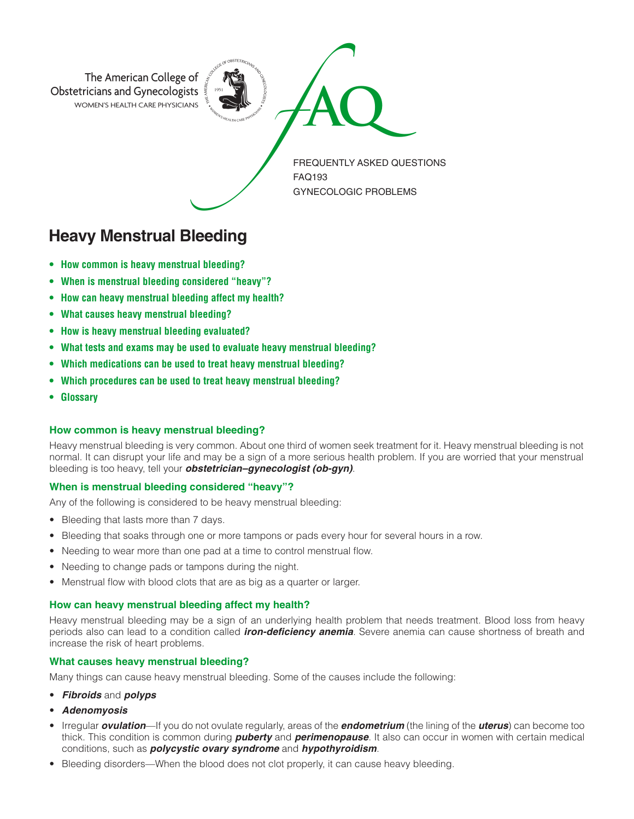

# **Heavy Menstrual Bleeding**

- **• How common is heavy menstrual bleeding?**
- **• When is menstrual bleeding considered "heavy"?**
- **• How can heavy menstrual bleeding affect my health?**
- **• What causes heavy menstrual bleeding?**
- **• How is heavy menstrual bleeding evaluated?**
- **• What tests and exams may be used to evaluate heavy menstrual bleeding?**
- **• Which medications can be used to treat heavy menstrual bleeding?**
- **• Which procedures can be used to treat heavy menstrual bleeding?**
- **Glossary**

## **How common is heavy menstrual bleeding?**

Heavy menstrual bleeding is very common. About one third of women seek treatment for it. Heavy menstrual bleeding is not normal. It can disrupt your life and may be a sign of a more serious health problem. If you are worried that your menstrual bleeding is too heavy, tell your *obstetrician–gynecologist (ob-gyn)*.

## **When is menstrual bleeding considered "heavy"?**

Any of the following is considered to be heavy menstrual bleeding:

- Bleeding that lasts more than 7 days.
- Bleeding that soaks through one or more tampons or pads every hour for several hours in a row.
- Needing to wear more than one pad at a time to control menstrual flow.
- Needing to change pads or tampons during the night.
- Menstrual flow with blood clots that are as big as a quarter or larger.

## **How can heavy menstrual bleeding affect my health?**

Heavy menstrual bleeding may be a sign of an underlying health problem that needs treatment. Blood loss from heavy periods also can lead to a condition called *iron-deficiency anemia*. Severe anemia can cause shortness of breath and increase the risk of heart problems.

# **What causes heavy menstrual bleeding?**

Many things can cause heavy menstrual bleeding. Some of the causes include the following:

- *Fibroids* and *polyps*
- *Adenomyosis*
- Irregular *ovulation*—If you do not ovulate regularly, areas of the *endometrium* (the lining of the *uterus*) can become too thick. This condition is common during *puberty* and *perimenopause*. It also can occur in women with certain medical conditions, such as *polycystic ovary syndrome* and *hypothyroidism*.
- Bleeding disorders—When the blood does not clot properly, it can cause heavy bleeding.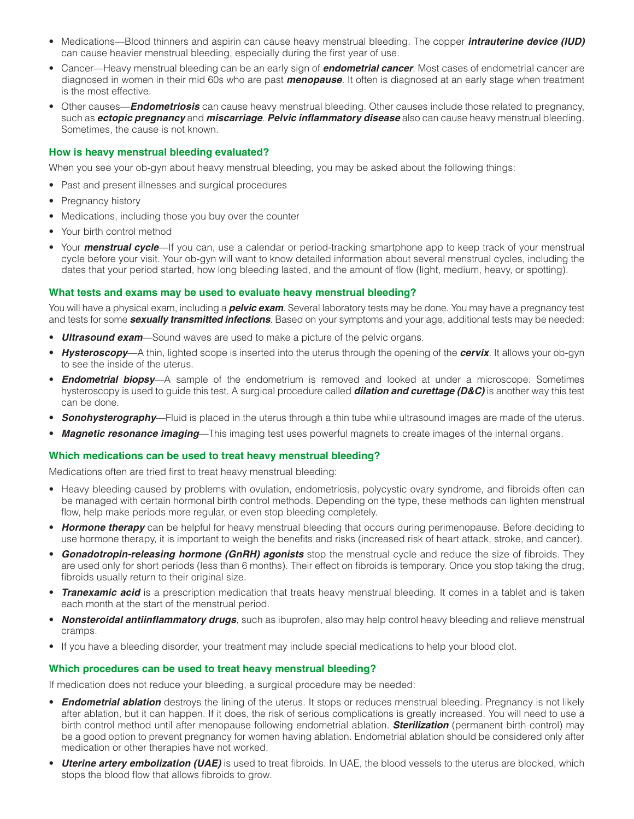- Medications—Blood thinners and aspirin can cause heavy menstrual bleeding. The copper *intrauterine device (IUD)* can cause heavier menstrual bleeding, especially during the first year of use.
- Cancer—Heavy menstrual bleeding can be an early sign of *endometrial cancer*. Most cases of endometrial cancer are diagnosed in women in their mid 60s who are past *menopause*. It often is diagnosed at an early stage when treatment is the most effective.
- Other causes—*Endometriosis* can cause heavy menstrual bleeding. Other causes include those related to pregnancy, such as *ectopic pregnancy* and *miscarriage*. *Pelvic inflammatory disease* also can cause heavy menstrual bleeding. Sometimes, the cause is not known.

#### **How is heavy menstrual bleeding evaluated?**

When you see your ob-gyn about heavy menstrual bleeding, you may be asked about the following things:

- Past and present illnesses and surgical procedures
- Pregnancy history
- Medications, including those you buy over the counter
- Your birth control method
- Your *menstrual cycle*—If you can, use a calendar or period-tracking smartphone app to keep track of your menstrual cycle before your visit. Your ob-gyn will want to know detailed information about several menstrual cycles, including the dates that your period started, how long bleeding lasted, and the amount of flow (light, medium, heavy, or spotting).

#### **What tests and exams may be used to evaluate heavy menstrual bleeding?**

You will have a physical exam, including a *pelvic exam*. Several laboratory tests may be done. You may have a pregnancy test and tests for some *sexually transmitted infections*. Based on your symptoms and your age, additional tests may be needed:

- **Ultrasound exam**—Sound waves are used to make a picture of the pelvic organs.
- *Hysteroscopy*—A thin, lighted scope is inserted into the uterus through the opening of the *cervix*. It allows your ob-gyn to see the inside of the uterus.
- **Endometrial biopsy**—A sample of the endometrium is removed and looked at under a microscope. Sometimes hysteroscopy is used to guide this test. A surgical procedure called *dilation and curettage (D&C)* is another way this test can be done.
- *Sonohysterography*—Fluid is placed in the uterus through a thin tube while ultrasound images are made of the uterus.
- *Magnetic resonance imaging*—This imaging test uses powerful magnets to create images of the internal organs.

## **Which medications can be used to treat heavy menstrual bleeding?**

Medications often are tried first to treat heavy menstrual bleeding:

- Heavy bleeding caused by problems with ovulation, endometriosis, polycystic ovary syndrome, and fibroids often can be managed with certain hormonal birth control methods. Depending on the type, these methods can lighten menstrual flow, help make periods more regular, or even stop bleeding completely.
- *Hormone therapy* can be helpful for heavy menstrual bleeding that occurs during perimenopause. Before deciding to use hormone therapy, it is important to weigh the benefits and risks (increased risk of heart attack, stroke, and cancer).
- *Gonadotropin-releasing hormone (GnRH) agonists* stop the menstrual cycle and reduce the size of fibroids. They are used only for short periods (less than 6 months). Their effect on fibroids is temporary. Once you stop taking the drug, fibroids usually return to their original size.
- *Tranexamic acid* is a prescription medication that treats heavy menstrual bleeding. It comes in a tablet and is taken each month at the start of the menstrual period.
- *Nonsteroidal antiinflammatory drugs*, such as ibuprofen, also may help control heavy bleeding and relieve menstrual cramps.
- If you have a bleeding disorder, your treatment may include special medications to help your blood clot.

## **Which procedures can be used to treat heavy menstrual bleeding?**

If medication does not reduce your bleeding, a surgical procedure may be needed:

- *Endometrial ablation* destroys the lining of the uterus. It stops or reduces menstrual bleeding. Pregnancy is not likely after ablation, but it can happen. If it does, the risk of serious complications is greatly increased. You will need to use a birth control method until after menopause following endometrial ablation. *Sterilization* (permanent birth control) may be a good option to prevent pregnancy for women having ablation. Endometrial ablation should be considered only after medication or other therapies have not worked.
- *Uterine artery embolization (UAE)* is used to treat fibroids. In UAE, the blood vessels to the uterus are blocked, which stops the blood flow that allows fibroids to grow.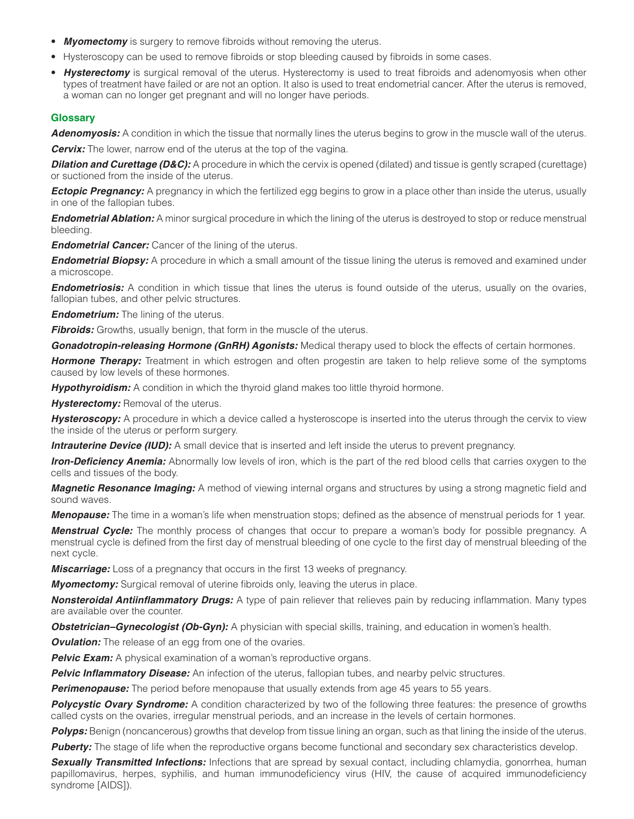- *Myomectomy* is surgery to remove fibroids without removing the uterus.
- Hysteroscopy can be used to remove fibroids or stop bleeding caused by fibroids in some cases.
- *Hysterectomy* is surgical removal of the uterus. Hysterectomy is used to treat fibroids and adenomyosis when other types of treatment have failed or are not an option. It also is used to treat endometrial cancer. After the uterus is removed, a woman can no longer get pregnant and will no longer have periods.

# **Glossary**

*Adenomyosis:* A condition in which the tissue that normally lines the uterus begins to grow in the muscle wall of the uterus.

*Cervix:* The lower, narrow end of the uterus at the top of the vagina.

**Dilation and Curettage (D&C):** A procedure in which the cervix is opened (dilated) and tissue is gently scraped (curettage) or suctioned from the inside of the uterus.

**Ectopic Pregnancy:** A pregnancy in which the fertilized egg begins to grow in a place other than inside the uterus, usually in one of the fallopian tubes.

*Endometrial Ablation:* A minor surgical procedure in which the lining of the uterus is destroyed to stop or reduce menstrual bleeding.

*Endometrial Cancer:* Cancer of the lining of the uterus.

*Endometrial Biopsy:* A procedure in which a small amount of the tissue lining the uterus is removed and examined under a microscope.

*Endometriosis:* A condition in which tissue that lines the uterus is found outside of the uterus, usually on the ovaries, fallopian tubes, and other pelvic structures.

*Endometrium:* The lining of the uterus.

**Fibroids:** Growths, usually benign, that form in the muscle of the uterus.

*Gonadotropin-releasing Hormone (GnRH) Agonists:* Medical therapy used to block the effects of certain hormones.

*Hormone Therapy:* Treatment in which estrogen and often progestin are taken to help relieve some of the symptoms caused by low levels of these hormones.

*Hypothyroidism:* A condition in which the thyroid gland makes too little thyroid hormone.

**Hysterectomy:** Removal of the uterus.

Hysteroscopy: A procedure in which a device called a hysteroscope is inserted into the uterus through the cervix to view the inside of the uterus or perform surgery.

*Intrauterine Device (IUD):* A small device that is inserted and left inside the uterus to prevent pregnancy.

*Iron-Deficiency Anemia:* Abnormally low levels of iron, which is the part of the red blood cells that carries oxygen to the cells and tissues of the body.

*Magnetic Resonance Imaging:* A method of viewing internal organs and structures by using a strong magnetic field and sound waves.

*Menopause:* The time in a woman's life when menstruation stops; defined as the absence of menstrual periods for 1 year.

*Menstrual Cycle:* The monthly process of changes that occur to prepare a woman's body for possible pregnancy. A menstrual cycle is defined from the first day of menstrual bleeding of one cycle to the first day of menstrual bleeding of the next cycle.

*Miscarriage:* Loss of a pregnancy that occurs in the first 13 weeks of pregnancy.

*Myomectomy:* Surgical removal of uterine fibroids only, leaving the uterus in place.

*Nonsteroidal Antiinflammatory Drugs:* A type of pain reliever that relieves pain by reducing inflammation. Many types are available over the counter.

*Obstetrician–Gynecologist (Ob-Gyn):* A physician with special skills, training, and education in women's health.

**Ovulation:** The release of an egg from one of the ovaries.

**Pelvic Exam:** A physical examination of a woman's reproductive organs.

**Pelvic Inflammatory Disease:** An infection of the uterus, fallopian tubes, and nearby pelvic structures.

**Perimenopause:** The period before menopause that usually extends from age 45 years to 55 years.

**Polycystic Ovary Syndrome:** A condition characterized by two of the following three features: the presence of growths called cysts on the ovaries, irregular menstrual periods, and an increase in the levels of certain hormones.

**Polyps:** Benign (noncancerous) growths that develop from tissue lining an organ, such as that lining the inside of the uterus.

**Puberty:** The stage of life when the reproductive organs become functional and secondary sex characteristics develop.

**Sexually Transmitted Infections:** Infections that are spread by sexual contact, including chlamydia, gonorrhea, human papillomavirus, herpes, syphilis, and human immunodeficiency virus (HIV, the cause of acquired immunodeficiency syndrome [AIDS]).